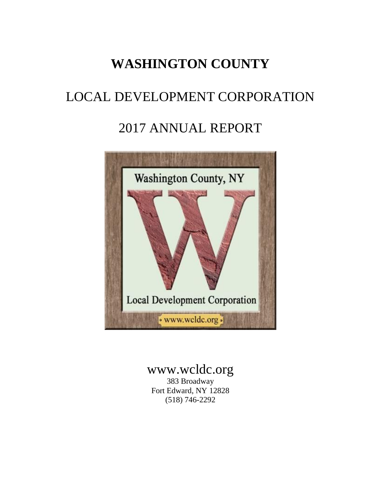# **WASHINGTON COUNTY**

# LOCAL DEVELOPMENT CORPORATION

## 2017 ANNUAL REPORT



# www.wcldc.org

383 Broadway Fort Edward, NY 12828 (518) 746-2292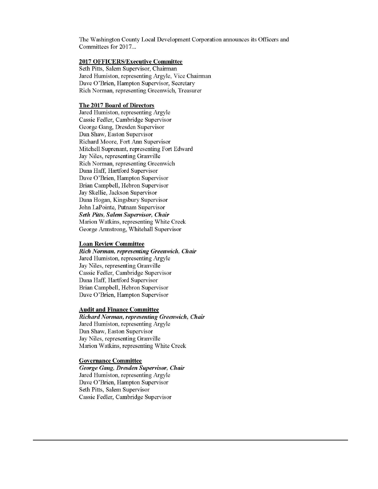The Washington County Local Development Corporation announces its Officers and Committees for 2017...

#### **2017 OFFICERS/Executive Committee**

Seth Pitts, Salem Supervisor, Chairman Jared Humiston, representing Argyle, Vice Chairman Dave O'Brien, Hampton Supervisor, Secretary Rich Norman, representing Greenwich, Treasurer

#### The 2017 Board of Directors

Jared Humiston, representing Argyle Cassie Fedler, Cambridge Supervisor George Gang, Dresden Supervisor Dan Shaw, Easton Supervisor Richard Moore, Fort Ann Supervisor Mitchell Suprenant, representing Fort Edward Jay Niles, representing Granville Rich Norman, representing Greenwich Dana Haff, Hartford Supervisor Dave O'Brien, Hampton Supervisor Brian Campbell, Hebron Supervisor Jay Skellie, Jackson Supervisor Dana Hogan, Kingsbury Supervisor John LaPointe, Putnam Supervisor **Seth Pitts, Salem Supervisor, Chair** Marion Watkins, representing White Creek George Armstrong, Whitehall Supervisor

#### **Loan Review Committee**

Rich Norman, representing Greenwich, Chair Jared Humiston, representing Argyle Jay Niles, representing Granville Cassie Fedler, Cambridge Supervisor Dana Haff, Hartford Supervisor Brian Campbell, Hebron Supervisor Dave O'Brien, Hampton Supervisor

#### **Audit and Finance Committee**

Richard Norman, representing Greenwich, Chair Jared Humiston, representing Argyle Dan Shaw, Easton Supervisor Jay Niles, representing Granville Marion Watkins, representing White Creek

#### **Governance Committee**

George Gang, Dresden Supervisor, Chair Jared Humiston, representing Argyle Dave O'Brien, Hampton Supervisor Seth Pitts, Salem Supervisor Cassie Fedler, Cambridge Supervisor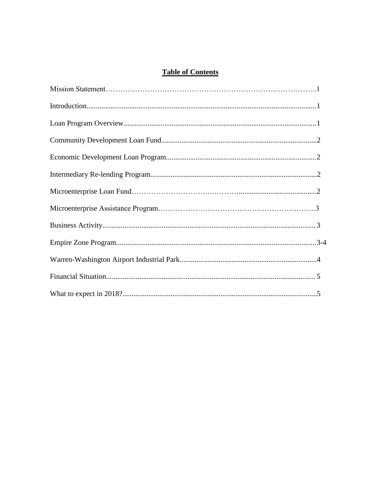### **Table of Contents**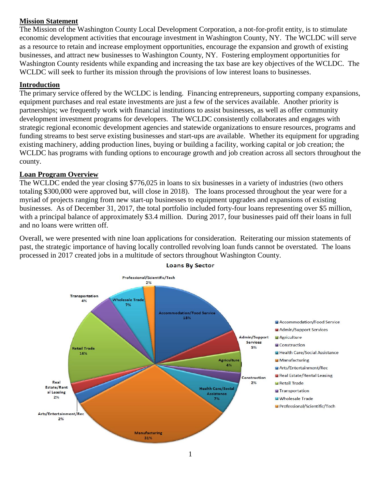### **Mission Statement**

The Mission of the Washington County Local Development Corporation, a not-for-profit entity, is to stimulate economic development activities that encourage investment in Washington County, NY. The WCLDC will serve as a resource to retain and increase employment opportunities, encourage the expansion and growth of existing businesses, and attract new businesses to Washington County, NY. Fostering employment opportunities for Washington County residents while expanding and increasing the tax base are key objectives of the WCLDC. The WCLDC will seek to further its mission through the provisions of low interest loans to businesses.

### **Introduction**

The primary service offered by the WCLDC is lending. Financing entrepreneurs, supporting company expansions, equipment purchases and real estate investments are just a few of the services available. Another priority is partnerships; we frequently work with financial institutions to assist businesses, as well as offer community development investment programs for developers. The WCLDC consistently collaborates and engages with strategic regional economic development agencies and statewide organizations to ensure resources, programs and funding streams to best serve existing businesses and start-ups are available. Whether its equipment for upgrading existing machinery, adding production lines, buying or building a facility, working capital or job creation; the WCLDC has programs with funding options to encourage growth and job creation across all sectors throughout the county.

#### **Loan Program Overview**

The WCLDC ended the year closing \$776,025 in loans to six businesses in a variety of industries (two others totaling \$300,000 were approved but, will close in 2018). The loans processed throughout the year were for a myriad of projects ranging from new start-up businesses to equipment upgrades and expansions of existing businesses. As of December 31, 2017, the total portfolio included forty-four loans representing over \$5 million, with a principal balance of approximately \$3.4 million. During 2017, four businesses paid off their loans in full and no loans were written off.

Overall, we were presented with nine loan applications for consideration. Reiterating our mission statements of past, the strategic importance of having locally controlled revolving loan funds cannot be overstated. The loans processed in 2017 created jobs in a multitude of sectors throughout Washington County.



**Loans By Sector**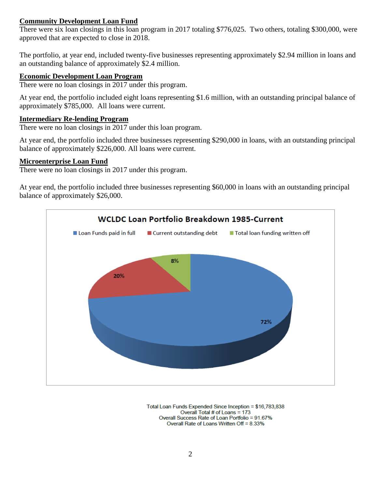#### **Community Development Loan Fund**

There were six loan closings in this loan program in 2017 totaling \$776,025. Two others, totaling \$300,000, were approved that are expected to close in 2018.

The portfolio, at year end, included twenty-five businesses representing approximately \$2.94 million in loans and an outstanding balance of approximately \$2.4 million.

#### **Economic Development Loan Program**

There were no loan closings in 2017 under this program.

At year end, the portfolio included eight loans representing \$1.6 million, with an outstanding principal balance of approximately \$785,000. All loans were current.

#### **Intermediary Re-lending Program**

There were no loan closings in 2017 under this loan program.

At year end, the portfolio included three businesses representing \$290,000 in loans, with an outstanding principal balance of approximately \$226,000. All loans were current.

#### **Microenterprise Loan Fund**

There were no loan closings in 2017 under this program.

At year end, the portfolio included three businesses representing \$60,000 in loans with an outstanding principal balance of approximately \$26,000.



Total Loan Funds Expended Since Inception = \$16,783,838 Overall Total # of Loans = 173 Overall Success Rate of Loan Portfolio = 91.67% Overall Rate of Loans Written Off = 8.33%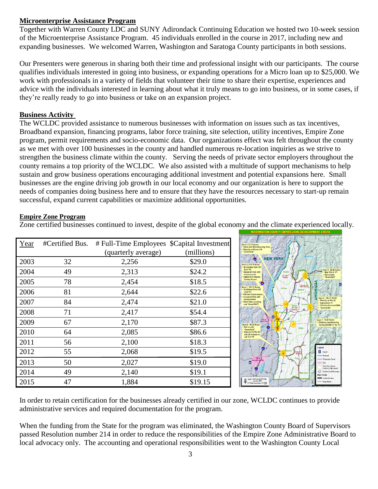### **Microenterprise Assistance Program**

Together with Warren County LDC and SUNY Adirondack Continuing Education we hosted two 10-week session of the Microenterprise Assistance Program. 45 individuals enrolled in the course in 2017, including new and expanding businesses. We welcomed Warren, Washington and Saratoga County participants in both sessions.

Our Presenters were generous in sharing both their time and professional insight with our participants. The course qualifies individuals interested in going into business, or expanding operations for a Micro loan up to \$25,000. We work with professionals in a variety of fields that volunteer their time to share their expertise, experiences and advice with the individuals interested in learning about what it truly means to go into business, or in some cases, if they're really ready to go into business or take on an expansion project.

### **Business Activity**

The WCLDC provided assistance to numerous businesses with information on issues such as tax incentives, Broadband expansion, financing programs, labor force training, site selection, utility incentives, Empire Zone program, permit requirements and socio-economic data. Our organizations effect was felt throughout the county as we met with over 100 businesses in the county and handled numerous re-location inquiries as we strive to strengthen the business climate within the county. Serving the needs of private sector employers throughout the county remains a top priority of the WCLDC. We also assisted with a multitude of support mechanisms to help sustain and grow business operations encouraging additional investment and potential expansions here. Small businesses are the engine driving job growth in our local economy and our organization is here to support the needs of companies doing business here and to ensure that they have the resources necessary to start-up remain successful, expand current capabilities or maximize additional opportunities.

#### **Empire Zone Program**

Zone certified businesses continued to invest, despite of the global economy and the climate experienced locally.

| Year | #Certified Bus. | # Full-Time Employees \$Capital Investment |            |
|------|-----------------|--------------------------------------------|------------|
|      |                 | (quarterly average)                        | (millions) |
| 2003 | 32              | 2,256                                      | \$29.0     |
| 2004 | 49              | 2,313                                      | \$24.2     |
| 2005 | 78              | 2,454                                      | \$18.5     |
| 2006 | 81              | 2,644                                      | \$22.6     |
| 2007 | 84              | 2,474                                      | \$21.0     |
| 2008 | 71              | 2,417                                      | \$54.4     |
| 2009 | 67              | 2,170                                      | \$87.3     |
| 2010 | 64              | 2,085                                      | \$86.6     |
| 2011 | 56              | 2,100                                      | \$18.3     |
| 2012 | 55              | 2,068                                      | \$19.5     |
| 2013 | 50              | 2,027                                      | \$19.0     |
| 2014 | 49              | 2,140                                      | \$19.1     |
| 2015 | 47              | 1,884                                      | \$19.15    |



In order to retain certification for the businesses already certified in our zone, WCLDC continues to provide administrative services and required documentation for the program.

When the funding from the State for the program was eliminated, the Washington County Board of Supervisors passed Resolution number 214 in order to reduce the responsibilities of the Empire Zone Administrative Board to local advocacy only. The accounting and operational responsibilities went to the Washington County Local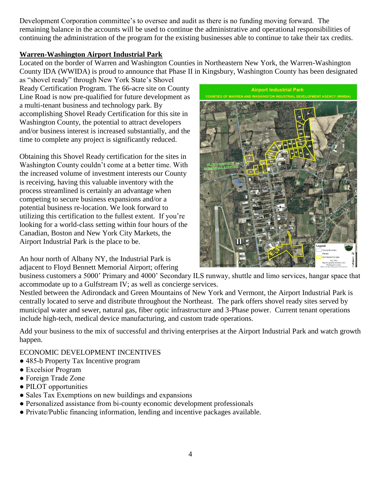Development Corporation committee's to oversee and audit as there is no funding moving forward. The remaining balance in the accounts will be used to continue the administrative and operational responsibilities of continuing the administration of the program for the existing businesses able to continue to take their tax credits.

### **Warren-Washington Airport Industrial Park**

Located on the border of Warren and Washington Counties in Northeastern New York, the Warren-Washington County IDA (WWIDA) is proud to announce that Phase II in Kingsbury, Washington County has been designated

as "shovel ready" through New York State's Shovel Ready Certification Program. The 66-acre site on County Line Road is now pre-qualified for future development as a multi-tenant business and technology park. By accomplishing Shovel Ready Certification for this site in Washington County, the potential to attract developers and/or business interest is increased substantially, and the time to complete any project is significantly reduced.

Obtaining this Shovel Ready certification for the sites in Washington County couldn't come at a better time. With the increased volume of investment interests our County is receiving, having this valuable inventory with the process streamlined is certainly an advantage when competing to secure business expansions and/or a potential business re-location. We look forward to utilizing this certification to the fullest extent. If you're looking for a world-class setting within four hours of the Canadian, Boston and New York City Markets, the Airport Industrial Park is the place to be.

An hour north of Albany NY, the Industrial Park is adjacent to Floyd Bennett Memorial Airport; offering



business customers a 5000' Primary and 4000' Secondary ILS runway, shuttle and limo services, hangar space that accommodate up to a Gulfstream IV; as well as concierge services.

Nestled between the Adirondack and Green Mountains of New York and Vermont, the Airport Industrial Park is centrally located to serve and distribute throughout the Northeast. The park offers shovel ready sites served by municipal water and sewer, natural gas, fiber optic infrastructure and 3-Phase power. Current tenant operations include high-tech, medical device manufacturing, and custom trade operations.

Add your business to the mix of successful and thriving enterprises at the Airport Industrial Park and watch growth happen.

#### ECONOMIC DEVELOPMENT INCENTIVES

- 485-b Property Tax Incentive program
- Excelsior Program
- Foreign Trade Zone
- PILOT opportunities
- Sales Tax Exemptions on new buildings and expansions
- Personalized assistance from bi-county economic development professionals
- Private/Public financing information, lending and incentive packages available.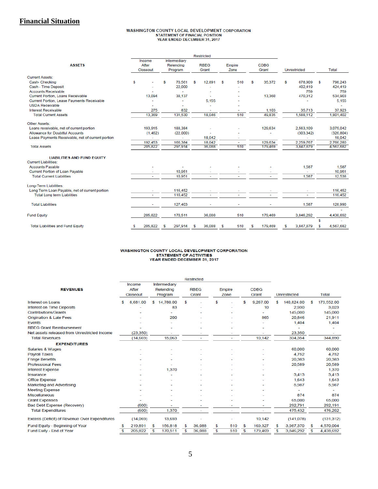### **Financial Situation**

# WASHINGTON COUNTY LOCAL DEVELOPMENT CORPORATION<br>STATEMENT OF FINACIAL POSITION<br>YEAR ENDED DECEMBER 31, 2017

|                                                   | Restricted |                             |   |                                      |    |                      |   |                |   |                      |   |              |      |            |
|---------------------------------------------------|------------|-----------------------------|---|--------------------------------------|----|----------------------|---|----------------|---|----------------------|---|--------------|------|------------|
| <b>ASSETS</b>                                     |            | Income<br>After<br>Closeout |   | Intermediary<br>Relending<br>Program |    | <b>RBEG</b><br>Grant |   | Empire<br>Zone |   | <b>CDBG</b><br>Grant |   | Unrestricted |      | Total      |
| <b>Current Assets:</b>                            |            |                             |   |                                      |    |                      |   |                |   |                      |   |              |      |            |
| Cash-Checking                                     | S          |                             | s | 70.561                               | S  | 12,891               | S | 510            | S | 35,372               | s | 678,909      | - \$ | 798.243    |
| Cash - Time Deposit                               |            |                             |   | 22,000                               |    |                      |   |                |   |                      |   | 402,419      |      | 424,419    |
| <b>Accounts Receivable</b>                        |            |                             |   |                                      |    |                      |   |                |   |                      |   | 759          |      | 759        |
| <b>Current Portion, Loans Receivable</b>          |            | 13,094                      |   | 38,137                               |    |                      |   |                |   | 13,360               |   | 470,312      |      | 534,903    |
| Current Portion, Lease Payments Receivable        |            |                             |   |                                      |    | 5,155                |   |                |   |                      |   |              |      | 5,155      |
| <b>USDA Receivable</b>                            |            |                             |   |                                      |    |                      |   |                |   |                      |   |              |      |            |
| Interest Receivable                               |            | 275                         |   | 832                                  |    |                      |   |                |   | 1,103                |   | 35.713       |      | 37,923     |
| <b>Total Current Assets</b>                       |            | 13,369                      |   | 131,530                              |    | 18,046               |   | 510            |   | 49,835               |   | 1,588,112    |      | 1,801,402  |
| <b>Other Assets:</b>                              |            |                             |   |                                      |    |                      |   |                |   |                      |   |              |      |            |
| Loans receivable, net of current portion          |            | 193,915                     |   | 188,384                              |    |                      |   |                |   | 129,634              |   | 2,563,109    |      | 3,075,042  |
| <b>Allowance for Doubtful Accounts</b>            |            | (1, 462)                    |   | (22,000)                             |    |                      |   |                |   |                      |   | (303, 342)   |      | (326, 804) |
| Lease Payments Receivable, net of current portion |            | ÷.                          |   | ÷.                                   |    | 18.042               |   | ٠              |   |                      |   |              |      | 18.042     |
|                                                   |            | 192,453                     |   | 166,384                              |    | 18,042               |   | ÷              |   | 129,634              |   | 2,259,767    |      | 2,766,280  |
| <b>Total Assets</b>                               |            | 205,822                     |   | 297,914                              |    | 36,088               |   | 510            |   | 179,469              |   | 3,847,879    |      | 4,567,682  |
| <b>LIABILITIES AND FUND EQUITY</b>                |            |                             |   |                                      |    |                      |   |                |   |                      |   |              |      |            |
| <b>Current Liabilities:</b>                       |            |                             |   |                                      |    |                      |   |                |   |                      |   |              |      |            |
| <b>Accounts Payable</b>                           |            |                             |   |                                      |    |                      |   |                |   |                      |   | 1,587        |      | 1,587      |
| Current Portion of Loan Payable                   |            |                             |   | 10,951                               |    |                      |   |                |   |                      |   |              |      | 10,951     |
| <b>Total Current Liabilities</b>                  |            |                             |   | 10.951                               |    | ÷.                   |   |                |   |                      |   | 1.587        |      | 12,538     |
| Long-Term Liabilities:                            |            |                             |   |                                      |    |                      |   |                |   |                      |   |              |      |            |
| Long Term Loan Payable, net of current portion    |            |                             |   | 116,452                              |    |                      |   |                |   |                      |   |              |      | 116,452    |
| <b>Total Long term Liabilities</b>                |            |                             |   | 116,452                              |    |                      |   |                |   |                      |   |              |      | 116,452    |
| <b>Total Liabilities</b>                          |            |                             |   | 127,403                              |    |                      |   |                |   |                      |   | 1,587        |      | 128,990    |
| <b>Fund Equity</b>                                |            | 205,822                     |   | 170,511                              |    | 36,088               |   | 510            |   | 179,469              |   | 3.846.292    |      | 4.438.692  |
|                                                   |            |                             |   |                                      |    |                      |   |                |   |                      |   |              | \$   |            |
| <b>Total Liabilities and Fund Equity</b>          |            | 205,822                     | s | 297,914                              | \$ | 36,088               | S | 510            | S | 179,469              |   | 3,847,879    | S    | 4,567,682  |

# WASHINGTON COUNTY LOCAL DEVELOPMENT CORPORATION<br>STATEMENT OF ACTIVITIES<br>YEAR ENDED DECEMBER 31, 2017

|                                               | <b>Restricted</b> |           |    |              |    |             |    |        |    |             |    |              |    |              |  |
|-----------------------------------------------|-------------------|-----------|----|--------------|----|-------------|----|--------|----|-------------|----|--------------|----|--------------|--|
|                                               |                   | Income    |    | Intermediary |    |             |    |        |    |             |    |              |    |              |  |
| <b>REVENUES</b>                               | After             |           |    | Relending    |    | <b>RBEG</b> |    | Empire |    | <b>CDBG</b> |    |              |    |              |  |
|                                               |                   | Closeout  |    | Program      |    | Grant       |    | Zone   |    | Grant       |    | Unrestricted |    | <b>Total</b> |  |
| <b>Interest on Loans</b>                      | s                 | 8,681.00  |    | \$14,780.00  | \$ |             | ፍ  |        | \$ | 9,267.00    | \$ | 140,824.00   | \$ | 173,552.00   |  |
| <b>Interest on Time Deposits</b>              |                   |           |    | 83           |    |             |    |        |    | 10          |    | 2,930        |    | 3,023        |  |
| <b>Contributions/Grants</b>                   |                   |           |    |              |    |             |    |        |    |             |    | 145,000      |    | 145,000      |  |
| <b>Origination &amp; Late Fees</b>            |                   |           |    | 200          |    |             |    |        |    | 865         |    | 20,846       |    | 21,911       |  |
| Events                                        |                   |           |    |              |    |             |    |        |    |             |    | 1,404        |    | 1,404        |  |
| <b>RBEG Grant Reimbursement</b>               |                   |           |    |              |    |             |    |        |    |             |    |              |    |              |  |
| Net assets released from Unrestricted Income  |                   | (23, 350) |    |              |    |             |    |        |    |             |    | 23,350       |    |              |  |
| <b>Total Revenues</b>                         |                   | (14, 669) |    | 15,063       |    | ۰           |    | ٠      |    | 10,142      |    | 334,354      |    | 344,890      |  |
| <b>EXPENDITURES</b>                           |                   |           |    |              |    |             |    |        |    |             |    |              |    |              |  |
| Salaries & Wages                              |                   |           |    |              |    |             |    |        |    |             |    | 60,000       |    | 60,000       |  |
| <b>Payroll Taxes</b>                          |                   |           |    |              |    |             |    |        |    |             |    | 4.752        |    | 4,752        |  |
| <b>Fringe Benefits</b>                        |                   |           |    |              |    |             |    |        |    |             |    | 20,383       |    | 20,383       |  |
| <b>Professional Fees</b>                      |                   |           |    |              |    |             |    |        |    |             |    | 20,589       |    | 20,589       |  |
| <b>Interest Expense</b>                       |                   |           |    | 1,370        |    |             |    |        |    |             |    |              |    | 1,370        |  |
| Insurance                                     |                   |           |    |              |    |             |    |        |    |             |    | 3.413        |    | 3,413        |  |
| Office Expense                                |                   |           |    |              |    |             |    |        |    |             |    | 1,643        |    | 1,643        |  |
| <b>Marketing and Advertising</b>              |                   |           |    |              |    |             |    |        |    |             |    | 5,987        |    | 5,987        |  |
| <b>Meeting Expense</b>                        |                   |           |    |              |    |             |    |        |    |             |    |              |    |              |  |
| <b>Miscellaneous</b>                          |                   |           |    |              |    |             |    |        |    |             |    | 874          |    | 874          |  |
| <b>Grant Expenses</b>                         |                   |           |    |              |    |             |    |        |    |             |    | 65,000       |    | 65,000       |  |
| Bad Debt Expense (Recovery)                   |                   | (600)     |    |              |    |             |    |        |    | ٠           |    | 292,791      |    | 292,191      |  |
| <b>Total Expenditures</b>                     |                   | (600)     |    | 1,370        |    |             |    |        |    |             |    | 475,432      |    | 476,202      |  |
| Excess (Deficit) of Revenue Over Expenditures |                   | (14,069)  |    | 13,693       |    |             |    |        |    | 10,142      |    | (141, 078)   |    | (131, 312)   |  |
| Fund Equity - Beginning of Year               | S                 | 219,891   | S  | 156,818      | \$ | 36,088      | \$ | 510    | \$ | 169,327     | S  | 3,987,370    | S. | 4,570,004    |  |
| Fund Euity - End of Year                      | \$                | 205,822   | \$ | 170,511      | \$ | 36,088      | \$ | 510    | \$ | 179,469     | \$ | 3,846,292    | \$ | 4,438,692    |  |